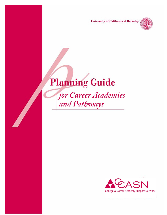**University of California at Berkeley** 



# **Planning Guide**

for Career Academies and Pathways

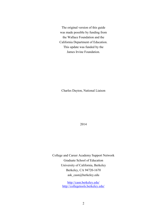The original version of this guide was made possible by funding from the Wallace Foundation and the California Department of Education. This update was funded by the James Irvine Foundation.

Charles Dayton, National Liaison

2014

College and Career Academy Support Network Graduate School of Education University of California, Berkeley Berkeley, CA 94720-1670 ask\_casn@berkeley.edu

> <http://casn.berkeley.edu/> <http://collegetools.berkeley.edu/>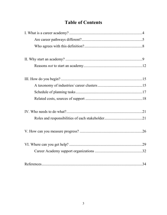# **Table of Contents**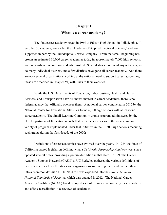# **Chapter I What is a career academy?**

The first career academy began in 1969 at Edison High School in Philadelphia. It enrolled 30 students, was called the "Academy of Applied Electrical Science," and was supported in part by the Philadelphia Electric Company. From that small beginning has grown an estimated 10,000 career academies today in approximately 7,000 high schools, with upwards of one million students enrolled. Several states have academy networks, as do many individual districts, and a few districts have gone all career academy. And there are now several organizations working at the national level to support career academies; these are described in Chapter VI, with links to their websites.

While the U.S. Departments of Education, Labor, Justice, Health and Human Services, and Transportation have all shown interest in career academies, there is no federal agency that officially oversees them. A national survey conducted in 2012 by the National Center for Educational Statistics found 6,300 high schools with at least one career academy. The Small Learning Community grants program administered by the U.S. Department of Education reports that career academies were the most common variety of program implemented under that initiative in the  $\sim$ 1,500 high schools receiving such grants during the first decade of the 2000s.

Definitions of career academies have evolved over the years. In 1984 the State of California passed legislation defining what a *California Partnership Academy* was, since updated several times, providing a precise definition in that state. In 1999 the Career Academy Support Network (CASN) at UC Berkeley gathered the various definitions of career academies from the states and organizations supporting them and merged these into a "common definition." In 2004 this was expanded into the *Career Academy National Standards of Practice*, which was updated in 2012. The National Career Academy Coalition (NCAC) has developed a set of rubrics to accompany these standards and offers accreditation-like reviews of academies.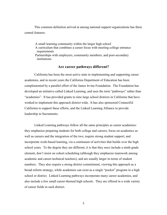This common definition arrived at among national support organizations has three central features:

A small learning community within the larger high school A curriculum that combines a career focus with meeting college entrance requirements Partnerships with employers, community members, and post-secondary institutions

## **Are career pathways different?**

California has been the most active state in implementing and supporting career academies, and in recent years the California Department of Education has been complemented by a parallel effort of the James Irvine Foundation. The Foundation has developed an initiative called Linked Learning, and uses the term "pathways" rather than "academies". It has provided grants to nine large school districts in California that have worked to implement this approach district wide. It has also sponsored ConnectEd California to support these efforts, and the Linked Learning Alliance to provide leadership in Sacramento.

Linked Learning pathways follow all the same principles as career academies: they emphasize preparing students for both college and careers; focus on academics as well as careers and the integration of the two; require strong student support; and incorporate work-based learning, via a continuum of activities that builds over the high school years. To the degree they are different, it is that they *must* include a ninth grade element, don't insist on cohort scheduling (although they emphasize teamwork among academic and career-technical teachers), and are usually larger in terms of student numbers. They also require a strong district commitment, viewing this approach as a broad reform strategy, while academies can exist as a single "pocket" program in a high school or district. Linked Learning pathways incorporate many career academies, and also include a few small career-themed high schools. They are offered in a wide variety of career fields in each district.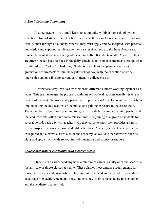#### *A Small Learning Community*

A career academy is a small learning community within a high school, which selects a subset of students and teachers for a two-, three-, or four-year period. Students usually enter through a voluntary process; they must apply and be accepted, with parental knowledge and support. While academies vary in size, they usually have from one to four sections of students at each grade level, or 100-300 students in all. Academy classes are often blocked back-to-back in the daily schedule, and students attend as a group, what is referred to as "cohort" scheduling. Students are able to complete academy and graduation requirements within the regular school day, with the exception of work internships and possible concurrent enrollment in college classes.

A career academy involves teachers from different subjects working together as a team. This team manages the program, with one or two lead teachers usually serving as the coordinator(s). Teams usually participate in professional development, particularly in implementing the key features of the model and gaining exposure to the career field. Team members have shared planning time, usually a daily common planning period, and the lead teacher(s) often have some release time. The joining of a group of students for several periods each day with teachers who they come to know well provides a familylike atmosphere, nurturing close student-teacher ties. Academy students also participate in required and elective classes outside the academy, as well as other activities such as clubs and sports. An academy requires administrator and counselor support.

## *College preparatory curriculum with a career theme*

Students in a career academy have a mixture of career (usually one) and academic (usually two or three) classes at a time. These classes meet entrance requirements for four-year colleges and universities. They are linked to academic and industry standards, encourage high achievement, and show students how their subjects relate to each other and the academy's career field.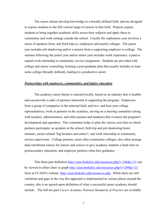The career classes develop knowledge in a broadly defined field, and are designed to expose students to the full vertical range of careers in that field. Projects require students to bring together academic skills across their subjects and apply these to community and work settings outside the school. Usually the sophomore year involves a series of speakers from, and field trips to, employers and nearby colleges. The junior year includes job shadowing and/or a mentor from a supporting employer or college. The summer following the junior year and/or senior year includes work experience, a paid or unpaid work internship or community service assignment. Students are provided with college and career counseling, forming a post-graduate plan that usually includes at least some college (broadly defined), leading to a productive career.

#### *Partnerships with employers, communities, and higher education*

The academy career theme is selected locally, based on an industry that is healthy and can provide a cadre of partners interested in supporting the program. Employers from a group of companies in the selected field, and two- and four-year college representatives, work as partners in the academy, serving on a steering committee (along with teachers, administrators, and often parents and students) that oversees the program's development and operation. This committee helps to plan the various activities in which partners participate: as speakers at the school; field trip and job shadowing hosts; mentors, career-related "big brothers and sisters"; and work internship or community service supervisors. College partners, most often community colleges, also often arrange dual enrollment classes for juniors and seniors to give academy students a head start on postsecondary education, and employer partners often hire graduates.

This three-part definition<http://casn.berkeley.edu/resources.php?r=248&c=21> can be viewed in either chart or graph <http://casn.berkeley.edu/resources.php?r=249&c=21> form at CCASN's website: [http://casn.berkeley.edu/resources.php.](http://casn.berkeley.edu/resources.php) While there are still variations and gaps in the way this approach is implemented in various places around the country, this is an agreed-upon definition of what a successful career academy should include. The full ten-part *Career Academy National Standards of Practice* are available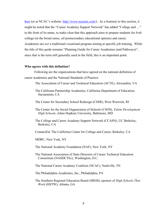[here](http://casn.berkeley.edu/resources.php?r=225&c=) (or at NCAC's website: [http://www.ncacinc.com/\)](http://www.ncacinc.com/). As a footnote to this section, it might be noted that the "Career Academy Support Network" has added "College and …" to the front of its name, to make clear that this approach aims to prepare students for *both* college (in the broad sense, *all* postsecondary educational options) and career. Academies are *not* a traditional vocational program aiming at specific job training. While the title of this guide remains "Planning Guide for Career Academies (and Pathways)", since that is the term still generally used in the field, this is an important point.

#### **Who agrees with this definition?**

Following are the organizations that have agreed on the national definition of career academies and the National Standards of Practice:

The Association of Career and Technical Education (ACTE), Alexandria, VA

- The California Partnership Academies, California Department of Education, Sacramento, CA
- The Center for Secondary School Redesign (CSSR), West Warwick, RI
- The Center for the Social Organization of Schools (CSOS), *Talent Development High Schools*, Johns Hopkins University, Baltimore, MD
- The College and Career Academy Support Network (CCASN), UC Berkeley, Berkeley, CA
- ConnectEd: The California Center for College and Career, Berkeley, CA
- MDRC, New York, NY
- The National Academy Foundation (NAF), New York, NY
- The National Association of State Directors of Career Technical Education Consortium (NASDCTEc), Washington, D.C.
- The National Career Academy Coalition (NCAC), Nashville, TN
- The Philadelphia Academies, Inc., Philadelphia, PA
- The Southern Regional Education Board (SREB), sponsor of *High Schools That Work* (HSTW), Atlanta, GA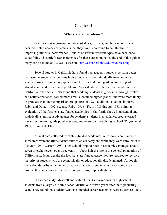# **Chapter II**

#### **Why start an academy?**

One reason why growing numbers of states, districts, and high schools have decided to start career academies is that they have been found to be effective in improving students' performance. Studies of several different types have been done. What follows is a brief recap (references for these are contained at the end of this guide; many can be found at CCASN's website: <http://casn.berkeley.edu/resources.php>

Several studies in California have found that academy students perform better than similar students in the same high schools who are individually matched with academy students on demographic characteristics and ninth grade records of grades, absenteeism, and disciplinary problems. An evaluation of the first two academies in California in the early 1980s found that academy students in grades ten through twelve had better attendance, earned more credits, obtained higher grades, and were more likely to graduate than their comparison groups (Reller 1984; additional citations in Stern, Raby, and Dayton 1992; see also Raby 1995). From 1985 through 1988 a similar evaluation of the first ten state-funded academies in California showed substantial and statistically significant advantages for academy students in attendance, credits earned toward graduation, grade point averages, and retention through high school (Dayton et al. 1989; Stern et al. 1989).

Annual data collected from state-funded academies in California continued to show improvement after students entered an academy and while they were enrolled in it (Dayton 1997; Warren 1998). High school dropout rates in academies averaged about seven or eight percent over three years — about half the rate in the general population of California students, despite the fact that state-funded academies are required to recruit a majority of students who are economically or educationally disadvantaged. Although these data describe only the performance of academy students, without comparison groups, they are consistent with the comparison-group evaluations.

In another study, Maxwell and Rubin (1997) surveyed former high school students from a large California school district one or two years after their graduating year. They found that students who had attended career academies were at least as likely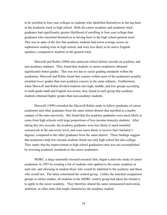to be enrolled in four-year colleges as students who identified themselves as having been in the academic track in high school. Both the career academy and academic track graduates had significantly greater likelihood of enrolling in four-year college than graduates who classified themselves as having been in the high school general track. This was in spite of the fact that academy students had lower average scores on sophomore reading tests in high school, and were less likely to be native English speakers, compared to students in the general track.

Maxwell and Rubin (2000) also analyzed school district records on academy and non-academy students. They found that students in career academies obtained significantly better grades. This was not due to easier grading standards within the academies: Maxwell and Rubin found that courses within most of the academies actually awarded *lower* grades than non-academy courses in the same subjects. Furthermore, when Maxwell and Rubin divided students into high, middle, and low groups according to tenth grade math and English test scores, they found in each group that academy students obtained higher grades than non-academy students.

Maxwell (1999) extended the Maxwell-Rubin study to follow graduates of career academies and other graduates from the same school district that enrolled at a nearby campus of the state university. She found that the academy graduates were more likely to come from high schools with large proportions of low-income minority students. After taking this into account, the academy graduates were less likely to need remedial coursework at the university level, and were more likely to receive their bachelor's degrees, compared to the other graduates from the same district. These findings suggest that academies help low-income students finish not only high school but also college. They imply that the improvement in high school graduation rates was not accomplished by lowering academic standards in the career academies.

MDRC, a large nationally-focused research firm, began a nine-site study of career academies in 1993 by creating a list of students who applied to the career academy at each site, and choosing at random those who would be admitted to the academy and those who would not. The latter constituted the control group. Unlike the matched comparison groups in earlier studies, all students in the MDRC control group had taken the initiative to apply to the career academy. They therefore shared the same unmeasured motivation, ambition, or other traits that might characterize the academy student.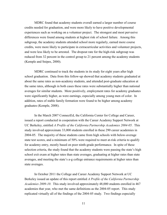MDRC found that academy students overall earned a larger number of course credits needed for graduation, and were more likely to have positive developmental experiences such as working on a volunteer project. The strongest and most pervasive differences were found among students at highest risk of school failure. Among this subgroup, the academy students attended school more regularly, earned more course credits, were more likely to participate in extracurricular activities and volunteer projects, and were less likely to be arrested. The dropout rate for the high-risk subgroup was reduced from 32 percent in the control group to 21 percent among the academy students (Kemple and Snipes, 2000).

MDRC continued to track the students in its study for eight years after high school graduation. Data from this follow-up showed that academy students graduated at about the same rates as non-academy students, and attended post-graduate education at the same rates, although in both cases these rates were substantially higher than national averages for similar students. More positively, employment rates for academy graduates were significantly higher, as were earnings, especially among young men of color. In addition, rates of stable family formation were found to be higher among academy graduates (Kemple, 2008).

In the March 2007 ConnectEd, the California Center for College and Career, issued a report conducted in cooperation with the Career Academy Support Network at UC Berkeley, entitled *A Profile of the California Partnership Academies 2004-05*. This study involved approximate 33,000 students enrolled in these 290 career academies in 2004-05. The majority of these students came from high schools with below-average state test scores, and a minimum of 50% were required to meet at-risk criteria to qualify for academy entry, mostly based on poor ninth-grade performance. In spite of these selection criteria, the study found that the academy students were passing the state's high school exit exam at higher rates than state averages, graduating at higher rates than state averages, and meeting the state's a-g college entrance requirements at higher rates than state averages.

In October 2011 the College and Career Academy Support Network at UC Berkeley issued an update of this report entitled *A Profile of the California Partnership Academies 2009-10*. This study involved approximately 48,000 students enrolled in 467 academies that year, who met the same definitions as the 2004-05 report. This study replicated virtually all of the findings of the 2004-05 study. Two findings especially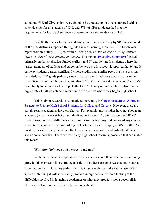stood out: 95% of CPA seniors were found to be graduating on time, compared with a statewide rate for all students of 85%; and 57% of CPA graduates had met the requirements for UC/CSU entrance, compared with a statewide rate of 36%.

In 2009 the James Irvine Foundation commissioned a study by SRI International of the nine districts supported through its Linked Learning initiative. The fourth year report from this study (2014) is entitled *Taking Stock of the Linked Learning District Initiative; Fourth Year Evaluation Report.* This report [\(Executive Summary\)](http://www.sri.com/sites/default/files/publications/llyr4execsumm_2014feb20.pdf) focused primarily on the six districts funded earliest, and  $9<sup>th</sup>$  and  $10<sup>th</sup>$  grade students, where the largest numbers of students and career pathways were involved. It reported that  $9<sup>th</sup>$  grade pathway students earned significantly more credits than similar peers in all six districts included; that  $10<sup>th</sup>$  grade pathway students had accumulated more credits than similar students in seven of eight districts; and that  $10<sup>th</sup>$  grade pathway students were  $6\%$  to  $17\%$ more likely to be on track to complete the UC/CSU entry requirements. It also found a higher rate of pathway student retention in the districts where they began high school.

This body of research is summarized more fully in [Career Academies: A Proven](http://casn.berkeley.edu/resources.php?r=158&c=1)  [Strategy to Prepare High School Students for College and Career\)](http://casn.berkeley.edu/resources.php?r=158&c=1). However, there are certain results academies have *not* shown. For example, most studies have not shown an academy (or pathway) effect on standardized test scores. As cited above, the MDRC study showed reduced differences over time between academy and non-academy control students, especially by the point of high school graduation (Kemple, MDRC, 2001). Yet no study has shown any negative effect from career academies, and virtually all have shown some benefits. There are few if any high school reform approaches that can match this record.

#### **Why** *shouldn't* **you start a career academy?**

With the evidence in support of career academies, and their rapid and continuing growth, this may seem like a strange question. Yet there are good reasons not to start a career academy. In fact, one path to avoid is to get caught up in the enthusiasm of this approach thinking it will solve every problem in high school, without looking at the difficulties involved in launching academies or what they probably won't accomplish. Here's a brief summary of what to be cautious about.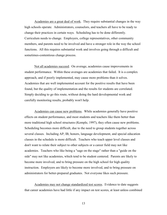Academies are a great deal of work. They require substantial changes in the way high schools operate. Administrators, counselors, and teachers all have to be ready to change their practices in certain ways. Scheduling has to be done differently. Curriculum needs to change. Employers, college representatives, other community members, and parents need to be involved and have a stronger role in the way the school functions. All this requires substantial work and involves going through a difficult and sometimes-contentious change process.

Not all academies succeed. On average, academies cause improvements in student performance. Within these averages are academies that failed. It is a complex approach, and if poorly implemented, may cause more problems than it solves. Academies that are well implemented account for the positive results that have been found, but the quality of implementation and the results for students are correlated. Simply deciding to go this route, without doing the hard developmental work and carefully monitoring results, probably won't help.

Academies can cause new problems. While academies generally have positive effects on student performance, and most students and teachers like them better than more traditional high school structures (Kemple, 1997), they often cause new problems. Scheduling becomes more difficult, due to the need to group students together across several classes. Including AP, IB, honors, language development, and special education classes in the schedule is more difficult. Teachers who teach upper level classes and don't want to relate their subject to other subjects or a career field may not like academies. Teachers who like being a "sage on the stage" rather than a "guide on the side" may not like academies, which tend to be student centered. Parents are likely to become more involved, and to bring pressure on the high school for high quality instruction. Employers are likely to become more involved, and to bring pressure on administrators for better-prepared graduates. Not everyone likes such pressure.

Academies may not change standardized test scores. Evidence to date suggests that career academies have had little if any impact on test scores, at least unless combined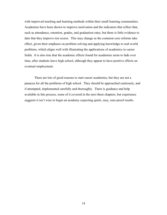with improved teaching and learning methods within their small learning communities. Academies have been shown to improve motivation and the indicators that reflect that, such as attendance, retention, grades, and graduation rates, but there is little evidence to date that they improve test scores. This may change as the common core reforms take effect, given their emphasis on problem solving and applying knowledge to real-world problems, which aligns well with illustrating the applications of academics to career fields. It is also true that the academic effects found for academies seem to fade over time, after students leave high school, although they appear to have positive effects on eventual employment.

There are lots of good reasons to start career academies, but they are not a panacea for all the problems of high school. They should be approached cautiously, and if attempted, implemented carefully and thoroughly. There is guidance and help available in this process, some of it covered in the next three chapters, but experience suggests it isn't wise to begin an academy expecting quick, easy, sure-proof results.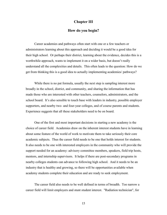#### **Chapter III**

## **How do you begin?**

Career academies and pathways often start with one or a few teachers or administrators learning about this approach and deciding it would be a good idea for their high school. Or perhaps their district, learning about the evidence, decides this is a worthwhile approach, wants to implement it on a wider basis, but doesn't really understand all the complexities and details. This often leads to the question: How do we get from thinking this is a good idea to actually implementing academies/ pathways?

While there is no pat formula, usually the next step is sampling interest more broadly in the school, district, and community, and sharing the information that has made those who are interested with other teachers, counselors, administrators, and the school board. It's also sensible to touch base with leaders in industry, possible employer supporters, and nearby two- and four-year colleges, and of course parents and students. Experience suggests that all these stakeholders need to be on board.

One of the first and most important decisions in starting a new academy is the choice of career field. Academies draw on the inherent interest students have in learning about some feature of the world of work to motivate them to take seriously their core academic subjects. Thus the career field needs to be one that holds interest for students. It also needs to be one with interested employers in the community who will provide the support needed for an academy: advisory committee members, speakers, field trip hosts, mentors, and internship supervisors. It helps if there are post-secondary programs in nearby colleges students can advance to following high school. And it needs to be an industry that is healthy and growing, so there will be opportunities available when academy students complete their education and are ready to seek employment.

The career field also needs to be well defined in terms of breadth. Too narrow a career field will limit employers and stunt student interest. "Radiation technician", for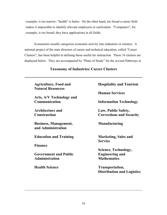example, is too narrow; "health" is better. On the other hand, too broad a career field makes it impossible to identify relevant employers or curriculum. "Computers", for example, is too broad; they have applications in all fields.

Economists usually categorize economic activity into industries or clusters. A national project of the state directors of career and technical education, called "Career Clusters", has been helpful in defining those useful for instruction. These 16 clusters are displayed below. They are accompanied by "Plans of Study" for the several Pathways in

| <b>Agriculture, Food and</b><br><b>Natural Resources</b> | <b>Hospitality and Tourism</b>                       |
|----------------------------------------------------------|------------------------------------------------------|
|                                                          | <b>Human Services</b>                                |
| Arts, A/V Technology and<br>Communication                | <b>Information Technology</b>                        |
| <b>Architecture and</b>                                  | Law, Public Safety,                                  |
| <b>Construction</b>                                      | <b>Corrections and Security</b>                      |
| <b>Business, Management,</b><br>and Administration       | <b>Manufacturing</b>                                 |
| <b>Education and Training</b>                            | <b>Marketing, Sales and</b><br><b>Service</b>        |
| <b>Finance</b>                                           |                                                      |
|                                                          | Science, Technology,                                 |
| <b>Government and Public</b>                             | <b>Engineering and</b>                               |
| <b>Administration</b>                                    | <b>Mathematics</b>                                   |
| <b>Health Science</b>                                    | Transportation,<br><b>Distribution and Logistics</b> |

# **Taxonomy of Industries/ Career Clusters**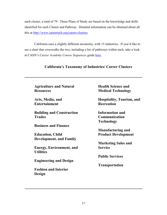each cluster, a total of 79. These Plans of Study are based on the knowledge and skills identified for each Cluster and Pathway. Detailed information can be obtained about all this at [http://www.careertech.org/career-clusters.](http://www.careertech.org/career-clusters)

California uses a slightly different taxonomy, with 15 industries. If you'd like to see a chart that crosswalks the two, including a list of pathways within each, take a look at CASN's *Career Academy Course Sequences* guide [here.](http://casn.berkeley.edu/resources.php?r=219&c=1)

# **Agriculture and Natural Resources Arts, Media, and Entertainment Building and Construction Trades Business and Finance Education, Child Development, and Family Energy, Environment, and Utilities Engineering and Design Fashion and Interior Design Health Science and Medical Technology Hospitality, Tourism, and Recreation Information and Communication Technology Manufacturing and Product Development Marketing Sales and Service Public Services Transportation**

# **California's Taxonomy of Industries/ Career Clusters**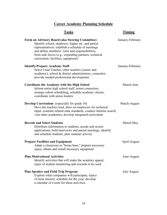# **Career Academy Planning Schedule**

| <b>Tasks</b>                                                                                                                                                                                                                                                                                                | Timing           |
|-------------------------------------------------------------------------------------------------------------------------------------------------------------------------------------------------------------------------------------------------------------------------------------------------------------|------------------|
| Form an Advisory Board (aka Steering Committee)<br>Identify school, employer, higher ed., and parent<br>representatives; establish a schedule of meetings<br>and define members' roles and responsibilities;<br>form task forces (e.g., expanding partners, technical<br>curriculum, facilities, equipment) | January-February |
| <b>Identify/Prepare Academy Staff</b><br>Select Lead Teacher, other teachers (career and<br>academic), school & district administrators, counselor;<br>provide needed professional development                                                                                                              | January-February |
| <b>Coordinate the Academy with the High School</b><br>Inform entire high school staff, orient counselors,<br>arrange cohort scheduling, schedule academy classes,<br>coordinate with union leaders                                                                                                          | March-June       |
| <b>Develop Curriculum</b> (especially for grade 10)<br>Have the teachers lead, draw on employers for technical<br>input, examine related state standards, conduct Internet search,<br>visit other academies, develop integrated curriculum                                                                  | March-August     |
| <b>Recruit and Select Students</b><br>Distribute information to students, accept and screen<br>applications, hold interviews and parent meetings, identify<br>and schedule students, plan summer activity                                                                                                   | March-May        |
| <b>Prepare Facilities and Equipment</b><br>Adapt a classroom as "home base," prepare necessary<br>space, obtain and install necessary equipment                                                                                                                                                             | April-August     |
| <b>Plan Motivational Activities</b><br>Identify activities that will make the academy appeal,<br>types of student monitoring and rewards to be used                                                                                                                                                         | June-August      |
| <b>Plan Speaker and Field Trip Program</b><br>Explore what companies will participate, topics<br>of most interest, schedule for the year; develop<br>a calendar of events for these activities.                                                                                                             | July-August      |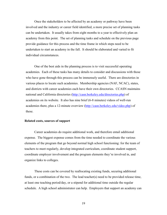Once the stakeholders to be affected by an academy or pathway have been involved and the industry or career field identified, a more precise set of planning tasks can be undertaken. It usually takes from eight months to a year to effectively plan an academy from this point. The set of planning tasks and schedule on the previous page provide guidance for this process and the time frame in which steps need to be undertaken to start an academy in the fall. It should be elaborated and varied to fit individual circumstances.

One of the best aids in the planning process is to visit successful operating academies. Each of these tasks has many details to consider and discussions with those who have gone through this process can be immensely useful. There are directories in various places to locate such academies. Membership agencies (NAF, NCAC), states, and districts with career academies each have their own directories. CCASN maintains national and California directories [\(http://casn.berkeley.edu/directories.php\)](http://casn.berkeley.edu/directories.php) of academies on its website. It also has nine brief (6-8 minutes) videos of well-run academies there, plus a 12-minute overview [\(http://casn.berkeley.edu/video.php\)](http://casn.berkeley.edu/video.php) of these.

#### **Related costs, sources of support**

Career academies do require additional work, and therefore entail additional expense. The biggest expense comes from the time needed to coordinate the various elements of the program that go beyond normal high school functioning: for the team of teachers to meet regularly, develop integrated curriculum, coordinate student support, coordinate employer involvement and the program elements they're involved in, and organize links to colleges.

These costs can be covered by reallocating existing funds, securing additional funds, or a combination of the two. The lead teacher(s) need to be provided release time, at least one teaching period/day, or a stipend for additional time outside the regular schedule. A high school administrator can help. Employers that support an academy can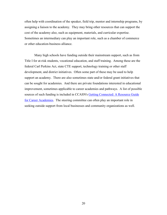often help with coordination of the speaker, field trip, mentor and internship programs, by assigning a liaison to the academy. They may bring other resources that can support the cost of the academy also, such as equipment, materials, and curricular expertise. Sometimes an intermediary can play an important role, such as a chamber of commerce or other education-business alliance.

Many high schools have funding outside their mainstream support, such as from Title I for at-risk students, vocational education, and staff training. Among these are the federal Carl Perkins Act, state CTE support, technology training or other staff development, and district initiatives. Often some part of these may be used to help support an academy. There are also sometimes state and/or federal grant initiatives that can be sought for academies. And there are private foundations interested in educational improvement, sometimes applicable to career academies and pathways. A list of possible sources of such funding is included in CCASN's **Getting Connected:** A Resource Guide [for Career Academies.](http://casn.berkeley.edu/resources.php?r=155&c=1) The steering committee can often play an important role in seeking outside support from local businesses and community organizations as well.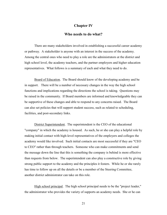# **Chapter IV**

## **Who needs to do what?**

There are many stakeholders involved in establishing a successful career academy or pathway. A stakeholder is anyone with an interest in the success of the academy. Among the central ones who need to play a role are the administrators at the district and high school level, the academy teachers, and the partner employers and higher education representatives. What follows is a summary of each and what they need to do.

Board of Education. The Board should know of the developing academy and be in support. There will be a number of necessary changes in the way the high school functions and implications regarding the directions the school is taking. Questions may be raised in the community. If Board members are informed and knowledgeable they can be supportive of these changes and able to respond to any concerns raised. The Board can also set policies that will support student success, such as related to scheduling, facilities, and post-secondary links.

District Superintendent. The superintendent is the CEO of the educational "company" in which the academy is housed. As such, he or she can play a helpful role by making initial contact with high-level representatives of the employers and colleges the academy would like involved. Such initial contacts are most successful if they are "CEO to CEO" rather than through teachers. Someone who can make commitments and send the message down the line that this is something the company is behind is more effective than requests from below. The superintendent can also play a constructive role by giving strong public support to the academy and the principles it fosters. While he or she rarely has time to follow up on all the details or be a member of the Steering Committee, another district administrator can take on this role.

High school principal. The high school principal needs to be the "project leader," the administrator who provides the variety of supports an academy needs. She or he can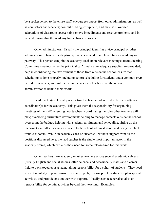be a spokesperson to the entire staff; encourage support from other administrators, as well as counselors and teachers; commit funding, equipment, and materials; oversee adaptations of classroom space; help remove impediments and resolve problems; and in general ensure that the academy has a chance to succeed.

Other administrators. Usually the principal identifies a vice principal or other administrator to handle the day-to-day matters related to implementing an academy or pathway. This person can join the academy teachers in relevant meetings; attend Steering Committee meetings when the principal can't; make sure adequate supplies are provided; help in coordinating the involvement of those from outside the school; ensure that scheduling is done properly, including cohort scheduling for students and a common prep period for teachers; and make clear to the academy teachers that the school administration is behind their efforts.

Lead teacher(s). Usually one or two teachers are identified to be the lead(s) or coordinator(s) for the academy. This gives them the responsibility for organizing meetings of the staff; orienting new teachers; coordinating the roles other teachers will play; overseeing curriculum development; helping to manage contacts outside the school; overseeing the budget; helping with student recruitment and scheduling; sitting on the Steering Committee; serving as liaison to the school administration; and being the chief trouble shooters. While an academy can't be successful without support from all the positions discussed here, the lead teacher is the single most important actor in the academy drama, which explains their need for some release time for this work.

Other teachers. An academy requires teachers across several academic subjects (usually English and social studies, often science, and occasionally math) and a career field to work together as a team, taking responsibility for a cohort of students. They need to meet regularly to plan cross-curricular projects, discuss problem students, plan special activities, and provide one another with support. Usually each teacher also takes on responsibility for certain activities beyond their teaching. Examples: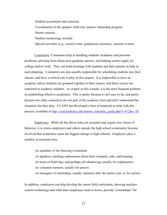Student recruitment and selection Coordination of the speaker/ field trip/ mentor/ internship program Parent contacts Student monitoring, rewards Special activities (e.g., social events, graduation ceremony, summer events)

Counselors. Counselors help in handling students' academic and personal problems, advising them about post-graduate options, and helping seniors apply for college and/or work. They can hold meetings with students and their parents to help in such planning. Counselors are also usually responsible for scheduling students into their classes, and have a critical role to play in this respect. It is impossible to have an academy unless students are grouped together in their classes, and these classes are restricted to academy students. As simple as this sounds, it is the most frequent problem in establishing effective academies. This is partly because it isn't easy to do, and partly because too often counselors are not part of the academy team and don't understand the essential role they play. CCASN has developed a host of materials to help with this process, available at [http://casn.berkeley.edu/master\\_schedule\\_guide.php?r=412&c=28](http://casn.berkeley.edu/master_schedule_guide.php?r=412&c=28)

Employers. While all the above roles are essential and require new forms of behavior, it is where employers and others outside the high school community become involved that academies cause the biggest change in high schools. Employers play a number of essential roles:

As members of the Steering Committee

As speakers, teaching sophomores about their company, jobs, and training As hosts of field trips, and perhaps job shadowing, usually for sophomores As volunteer mentors, usually for juniors

As managers of internships, usually summers after the junior year, or for seniors

In addition, employers can help develop the career field curriculum, showing teachers current technology and what their employees need to know; provide "externships" for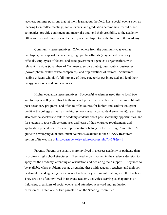teachers, summer positions that let them learn about the field; host special events such as Steering Committee meetings, social events, and graduation ceremonies; recruit other companies; provide equipment and materials; and lend their credibility to the academy. Often an involved employer will identify one employee to be the liaison to the academy.

Community representatives. Often others from the community, as well as employers, can support the academy, e.g.: public officials (mayors and other city officials, employees of federal and state government agencies); organizations with relevant missions (Chambers of Commerce, service clubs); quasi-public businesses (power/ phone/ water/ waste companies); and organizations of retirees. Sometimes leading citizens who don't fall into any of these categories get interested and lend their energy, resources and contacts as well.

Higher education representatives. Successful academies need ties to local twoand four-year colleges. This lets them develop their career-related curriculum to fit with post-secondary programs, and often to offer courses for juniors and seniors that grant credit at the college as well as the high school (usually called dual enrollment). Such ties also provide speakers to talk to academy students about post-secondary opportunities, and for students to tour college campuses and learn of their entrance requirements and application procedures. College representatives belong on the Steering Committee. A guide to developing dual enrollment courses is available in the CCASN Resources section of its website at<http://casn.berkeley.edu/resources.php?r=279&c=1>

Parents. Parents are usually more involved in a career academy or pathway than in ordinary high school structures. They need to be involved in the student's decision to apply for the academy, attending an orientation and declaring their support. They need to be available when problems occur, discussing these with academy teachers and their son or daughter, and agreeing on a course of action they will monitor along with the teachers. They are also often involved in relevant academy activities, serving as chaperones on field trips, organizers of social events, and attendees at reward and graduation ceremonies. Often one or two parents sit on the Steering Committee.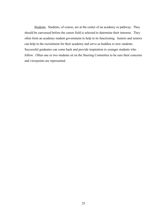Students. Students, of course, are at the center of an academy or pathway. They should be canvassed before the career field is selected to determine their interests. They often form an academy student government to help in its functioning. Juniors and seniors can help in the recruitment for their academy and serve as buddies to new students. Successful graduates can come back and provide inspiration to younger students who follow. Often one or two students sit on the Steering Committee to be sure their concerns and viewpoints are represented.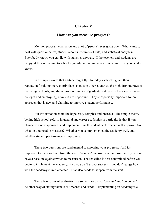# **Chapter V**

# **How can you measure progress?**

Mention program evaluation and a lot of people's eyes glaze over. Who wants to deal with questionnaires, student records, columns of data, and statistical analyses? Everybody knows you can lie with statistics anyway. If the teachers and students are happy, if they're coming to school regularly and seem engaged, what more do you need to know?

In a simpler world that attitude might fly. In today's schools, given their reputation for doing more poorly than schools in other countries, the high dropout rates of many high schools, and the often-poor quality of graduates (at least in the view of many colleges and employers), numbers are important. They're especially important for an approach that is new and claiming to improve student performance.

But evaluation need not be hopelessly complex and onerous. The simple theory behind high school reform in general and career academies in particular is that if you change to a new approach, and implement it well, student performance will improve. So what do you need to measure? Whether you've implemented the academy well, and whether student performance is improving.

These two questions are fundamental to assessing your progress. And it's important to focus on both from the start. You can't measure student progress if you don't have a baseline against which to measure it. That baseline is best determined before you begin to implement the academy. And you can't expect success if you don't gauge how well the academy is implemented. That also needs to happen from the start.

These two forms of evaluation are sometimes called "process" and "outcome." Another way of stating them is as "means" and "ends." Implementing an academy is a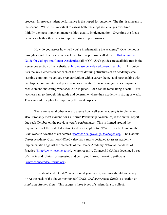process. Improved student performance is the hoped-for outcome. The first is a means to the second. While it is important to assess both, the emphasis changes over time. Initially the most important matter is high quality implementation. Over time the focus becomes whether this leads to improved student performance.

How do you assess how well you're implementing the academy? One method is through a guide that has been developed for this purpose, called the [Self-Assessment](http://casn.berkeley.edu/resources.php?r=155&c=1)  [Guide for College and Career Academies](http://casn.berkeley.edu/resources.php?r=155&c=1) (all of CCASN's guides are available free in the Resources section of its website, at [http://casn.berkeley.edu/resources.php\)](http://casn.berkeley.edu/resources.php). This guide lists the key elements under each of the three defining structures of an academy (small learning community; college prep curriculum with a career theme; and partnerships with employers, community, and postsecondary education). A scoring guide accompanies each element, indicating what should be in place. Each can be rated along a scale. Thus teachers can go through this guide and determine where their academy is strong or weak. This can lead to a plan for improving the weak aspects.

There are several other ways to assess how well your academy is implemented also. Probably most evident, for California Partnership Academies, is the annual report due each October on the previous year's performance. This is framed around the requirements of the State Education Code as it applies to CPAs. It can be found on the CDE website devoted to academies, [www.cde.ca.gov/ci/gs/hs/cpagen.asp.](http://www.cde.ca.gov/ci/gs/hs/cpagen.asp) The National Career Academy Coalition (NCAC) also has a rubric designed to assess academy implementation against the elements of the Career Academy National Standards of Practice [\(http://www.ncacinc.com/\)](http://www.ncacinc.com/). More recently, ConnectEd CA has developed a set of criteria and rubrics for assessing and certifying Linked Learning pathways [\(www.connectedcalifornia.org\)](http://www.connectedcalifornia.org/).

How about student data? What should you collect, and how should you analyze it? At the back of the above-mentioned CCASN *Self-Assessment Guide* is a section on *Analyzing Student Data*. This suggests three types of student data to collect: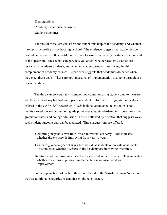**Demographics** Academy experience measures Student outcomes

The first of these lets you assess the student makeup of the academy, and whether it reflects the profile of the host high school. The evidence suggests that academies do best when they reflect this profile, rather than focusing exclusively on students at one end of the spectrum. The second category lets you assess whether academy classes are restricted to academy students, and whether academy students are taking the full complement of academy courses. Experience suggests that academies do better when they meet these goals. These are both measures of implementation available through use of student data.

The third category pertains to student outcomes, or using student data to measure whether the academy has had an impact on student performance. Suggested indicators offered in the CASN *Self-Assessment Guide* include: attendance, retention in school, credits earned toward graduation, grade point averages, standardized test scores, on-time graduation rates, and college admission. This is followed by a section that suggests ways such student outcome data can be analyzed. Three suggestions are offered:

Compiling snapshots over time, for an individual academy. This indicates whether the *program* is improving from year-to-year.

Comparing year-to-year changes for individual students or cohorts of students. This indicates whether *students* in the academy are improving over time.

Relating academy program characteristics to student performance. This indicates whether variations in program implementation are associated with improvement.

Fuller explanations of each of these are offered in the *Self-Assessment Guide*, as well as additional categories of data that might be collected.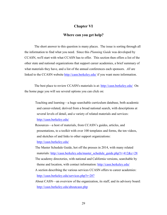# **Chapter VI**

## **Where can you get help?**

The short answer to this question is many places. The issue is sorting through all the information to find what you need. Since this *Planning Guide* was developed by CCASN, we'll start with what CCASN has to offer. This section then offers a list of the other state and national organizations that support career academies, a brief summary of what materials they have, and a list of the annual conferences each sponsors. *All* are linked to the CCASN website<http://casn.berkeley.edu/> if you want more information.

The best place to review CCASN's materials is at:<http://casn.berkeley.edu/> On the home page you will see several options you can click on:

Teaching and learning—a huge searchable curriculum database, both academic and career-related, derived from a broad national search, with descriptions at several levels of detail, and a variety of related materials and services: <http://casn.berkeley.edu/>

- Resources—a host of materials, from CCASN's guides, articles, and presentations, to a toolkit with over 100 templates and forms, the ten videos, and sketches of and links to other support organizations: <http://casn.berkeley.edu/>
- The Master Schedule Guide, hot off the presses in 2014, with many related materials: [http://casn.berkeley.edu/master\\_schedule\\_guide.php?r=412&c=28](http://casn.berkeley.edu/master_schedule_guide.php?r=412&c=28)
- The academy directories, with national and California versions, searchable by theme and location, with contact information:<http://casn.berkeley.edu/>
- A section describing the various services CCASN offers to career academies: <http://casn.berkeley.edu/services.php?r=287>
- About CASN—an overview of the organization, its staff, and its advisory board: <http://casn.berkeley.edu/aboutcasn.php>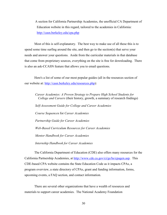A section for California Partnership Academies, the unofficial CA Department of Education website in this regard, tailored to the academies in California: <http://casn.berkeley.edu/cpa.php>

Most of this is self-explanatory. The best way to make use of all these this is to spend some time surfing around the site, and then go to the section(s) that serve your needs and answer your questions. Aside from the curricular materials in that database that come from proprietary sources, everything on the site is free for downloading. There is also an ask-CCASN feature that allows you to email questions.

Here's a list of some of our most popular guides (all in the resources section of our website at: [http://casn.berkeley.edu/resources.php\)](http://casn.berkeley.edu/resources.php):

*Career Academies: A Proven Strategy to Prepare High School Students for College and Careers* (their history, growth, a summary of research findings) *Self-Assessment Guide for College and Career Academies Course Sequence*s for *Career Academies Partnership Guide for Career Academies Web-Based Curriculum Resources for Career Academies Mentor Handbook for Career Academies Internship Handbook for Career Academies*

The California Department of Education (CDE) also offers many resources for the California Partnership Academies, at [http://www.cde.ca.gov/ci/gs/hs/cpagen.asp.](http://www.cde.ca.gov/ci/gs/hs/cpagen.asp) This CDE-based CPA website contains the State Education Code as it impacts CPAs, a program overview, a state directory of CPAs, grant and funding information, forms, upcoming events, a FAQ section, and contact information.

There are several other organizations that have a wealth of resources and materials to support career academies. The National Academy Foundation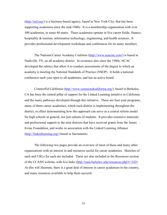[\(http://naf.org/\)](http://naf.org/) is a business-based agency, based in New York City, that has been supporting academies since the mid-1980s. It is a membership organization with over 500 academies, in some 40 states. These academies operate in five career fields: finance, hospitality & tourism, information technology, engineering, and health sciences. It provides professional development workshops and conferences for its many members.

The National Career Academy Coalition [\(http://www.ncacinc.com/\)](http://www.ncacinc.com/) is based in Nashville, TN, an all-academy district. In existence also since the 1980s, NCAC developed the rubrics that allow it to conduct assessments of the degree to which an academy is meeting the National Standards of Practice (NSOP). It holds a national conference each year open to all academies, and has an active board.

ConnectEd California [\(http://www.connectedcalifornia.org/\)](http://www.connectedcalifornia.org/), based in Berkeley, CA has been the central pillar of support for the Linked Learning initiative in California and the many pathways developed through this initiative. These are four-year programs, many of them career academies, which each district is implementing throughout the district, in effect demonstrating how this approach can serve as a central reform model for high schools in general, not just subsets of students. It provides extensive materials and professional support to the nine districts that have received grants from the James Irvine Foundation, and works in association with the Linked Learning Alliance [\(http://linkedlearning.org/\)](http://linkedlearning.org/) based in Sacramento.

The following two pages provide an overview of most of these and many other organizations with an interest in and resources useful for career academies. Sketches of each and URLs for each are included. These are also included in the Resources section of the CCASN website, with live links [\(http://casn.berkeley.edu/resources.php?r=242\)](http://casn.berkeley.edu/resources.php?r=242). As this will illustrate, there is a great deal of interest in career academies in the country, and many resources available to help them succeed.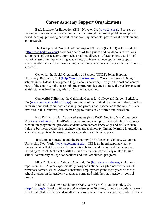# **Career Academy Support Organizations**

Buck Institute for Education (BIE), Novato, CA [\(www.bie.org\)](http://www.bie.org/). Focuses on making schools and classrooms more effective through the use of problem and project based learning, providing curriculum and training materials, professional development, and research.

The College and Career Academy Support Network (CCASN) at UC Berkeley [\(http://casn.berkeley.edu/\)](http://casn.berkeley.edu/) provides a series of free guides and handbooks for various components of the academy approach, a national directory of academies, a tool kit of materials useful in implementing academies, professional development to support teachers/ administrators/ counselors implementing academies, and research related to this approach.

Center for the Social Organization of Schools (CSOS), Johns Hopkins University, Baltimore, MD **[\(http://www.jhucsos.com/\).](http://www.jhucsos.com/)** Works with over 100 high schools in its Talent Development High Schools network, mostly in the east and central parts of the country, built on a ninth grade program designed to raise the performance of at-risk students leading to grade 10-12 career academies.

ConnectEd California, the California Center for College and Career, Berkeley, CA [\(www.connectedcalifornia.org\)](http://www.connectedcalifornia.org/). Supporter of the Linked Learning initiative, it offers extensive curriculum support, coaching, and professional assistance to the nine districts involved in this initiative, and increasingly to others in California and elsewhere.

Ford Partnership for Advanced Studies (Ford PAS), Newton, MA & Dearborn, MI [\(www.fordpas.org\)](http://www.fordpas.org/). FordPAS offers an inquiry- and project-based interdisciplinary curriculum program that provides students with content knowledge and skills in such fields as business, economics, engineering, and technology, linking learning in traditional academic subjects with post-secondary education and the workplace.

 Institute on Education and the Economy (IEE), Teachers College, Columbia University, New York [\(www.tc.columbia.edu](http://www.tc.columbia.edu/)). IEE is an interdisciplinary policy research center that focuses on the interaction between education and the economy, including research, technical assistance, and evaluation, particularly related to high school/ community college connections and dual enrollment programs.

MDRC, New York City and Oakland, CA [\(http://www.mdrc.org/\)](http://www.mdrc.org/). A series of reports on their 15-year experimentally designed national longitudinal evaluation of career academies, which showed substantial employment gains eight years after high school graduation for academy graduates compared with their non-academy control groups.

National Academy Foundation (NAF), New York City and Berkeley, CA [\(http://naf.org/\).](http://naf.org/) Works with over 500 academies in 40 states, sponsors a conference each July for all NAF affiliates and smaller versions at other times for academy leads. It offers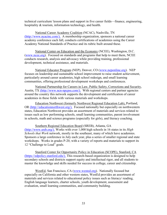technical curriculum/ lesson plans and support in five career fields—finance, engineering, hospitality & tourism, information technology, and health.

National Career Academy Coalition (NCAC), Nashville, TN [\(http://www.ncacinc.com/\).](http://www.ncacinc.com/) A membership organization, sponsors a national career academy conference each fall, conducts certifications of academies using the Career Academy National Standards of Practice and its rubric built around these.

National Center on Education and the Economy (NCEE), Washington, D.C. [\(www.ncee.org\)](http://www.ncee.org/). Focused on standards and programs that help to meet them, NCEE conducts research, analysis and advocacy while providing training, professional development, technical assistance, and materials.

National Educator Program (NEP), Denver, CO [\(www.neponline.org\)](http://www.neponline.org/). NEP focuses on leadership and sustainable school improvement to raise student achievement, particularly around career academies, high school redesign, and small learning communities, offering professional development workshops and conferences.

National Partnership for Careers in Law, Public Safety, Corrections and Security, Austin, TX [\(http://www.ncn-npcpss.com/\).](http://www.ncn-npcpss.com/) With regional centers and partner agencies around the country this network supports the development and certification of career academies in these fields with various materials and workshops.

Education Northwest (formerly Northwest Regional Education Lab), Portland, OR [\(http://educationnorthwest.org/\).](http://educationnorthwest.org/) Focused nationally but especially on northwestern states, Education Northwest provides an assortment of materials and services related to issues such as low performing schools, small learning communities, parent involvement in schools, math and science programs (especially for girls), and literacy coaching.

Southern Regional Education Board (SREB), Atlanta, GA [\(http://www.sreb.org/\).](http://www.sreb.org/) Works with over 1,000 high schools in 16 states in its *High Schools that Work* network, mostly in the southeast, many of which have academies. Sponsors a large conference in July each year, plus a series of smaller regional and state workshops. Works in grades P-20, with a variety of reports and materials to support its 12 "Challenge to Lead" goals.

Stanford Center for Opportunity Policy in Education (SCOPE), Stanford, CA [\(https://edpolicy.stanford.edu/\).](https://edpolicy.stanford.edu/) This research-based organization is designed to help secondary schools and districts support equity and intellectual rigor, and all students to master the knowledge and skills needed for success in college, career and citizenship.

WestEd, San Francisco, CA [\(www.wested.org\)](http://www.wested.org/). Nationally focused but especially on California and other western states, WestEd provides an assortment of materials and services related to educational policy issues such as literacy/ reading, English language learners, charter schools, youth development, assessment and evaluation, small learning communities, and community building.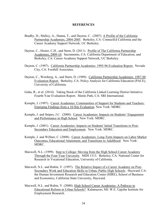#### **REFERENCES**

- Bradby, D., Malloy, A., Hanna, T., and Dayton, C. (2007). A Profile of the California Partnership Academies, 2004-2005. Berkeley, CA: ConnectEd California and the Career Academy Support Network, UC Berkeley.
- Dayton, C., Hester, C.H., and Stern, D. (2011). Profile of The California Partnership Academies, 2009-10. Sacramento, CA: California Department of Education; and Berkeley, CA: Career Academy Support Network, UC Berkeley.
- Dayton, C. (1997). California Partnership Academies: 1995-96 Evaluation Report. Nevada City, CA: Foothill Associates.
- Dayton, C., Weisberg, A., and Stern, D. (1989). California Partnership Academies: 1987-88 Evaluation Report. Berkeley, CA: Policy Analysis for California Education (PACE), University of California.
- Guha, R., et al. (2014). Taking Stock of the California Linked Learning District Initiative: Fourth-Year Evaluation Report. Menlo Park, CA: SRI International.
- Kemple, J. (1997). Career Academies: Communities of Support for Students and Teachers: Emerging Findings from a 10-Site Evaluation. New York: MDRC.
- Kemple, J. and Snipes, J.C. (2000). Career Academies: Impacts on Students' Engagement and Performance in High School. New York: MDRC.
- Kemple, J. (2001). Career Academies: Impacts on Students' Initial Transitions to Post-Secondary Education and Employment. New York: MDRC.
- Kemple, J. and Willner, C. (2008). Career Academies: Long-Term Impacts on Labor Market Outcomes, Educational Attainment, and Transitions to Adulthood. New York: MDRC.
- Maxwell, N.L. (1999). Step to College: Moving from the High School Career Academy Through the Four-Year University*.* MDS 1313. Berkeley, CA: National Center for Research in Vocational Education, University of California.
- Maxwell, N.L. and Rubin, V. (1997). The Relative Impact of a Career Academy on Post-Secondary Work and Education Skills in Urban, Public High Schools. Hayward, CA: the Human Investment Research and Education Center (HIRE), School of Business and Economics, California State University, Hayward.
- Maxwell, N.L. and Rubin, V. (2000): High School Career Academies: A Pathway to Educational Reform in Urban Schools? Kalamazoo, MI: W.E. Upjohn Institute for Employment Research.